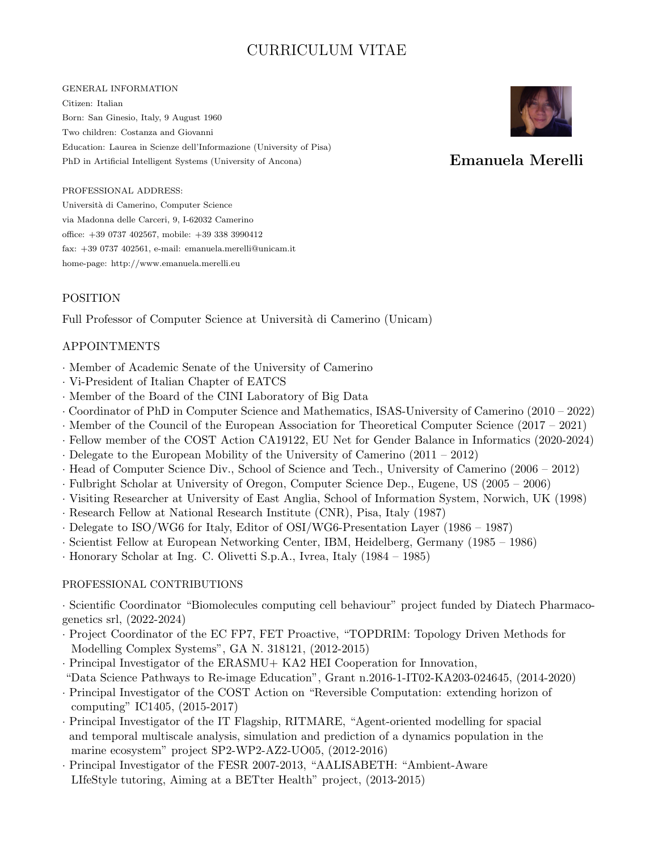# CURRICULUM VITAE

#### GENERAL INFORMATION

Citizen: Italian Born: San Ginesio, Italy, 9 August 1960 Two children: Costanza and Giovanni Education: Laurea in Scienze dell'Informazione (University of Pisa) PhD in Artificial Intelligent Systems (University of Ancona)



## Emanuela Merelli

#### PROFESSIONAL ADDRESS:

Universit`a di Camerino, Computer Science via Madonna delle Carceri, 9, I-62032 Camerino office: +39 0737 402567, mobile: +39 338 3990412 fax: +39 0737 402561, e-mail: emanuela.merelli@unicam.it home-page: http://www.emanuela.merelli.eu

#### POSITION

Full Professor of Computer Science at Università di Camerino (Unicam)

#### APPOINTMENTS

- · Member of Academic Senate of the University of Camerino
- · Vi-President of Italian Chapter of EATCS
- · Member of the Board of the CINI Laboratory of Big Data
- · Coordinator of PhD in Computer Science and Mathematics, ISAS-University of Camerino (2010 2022)
- · Member of the Council of the European Association for Theoretical Computer Science (2017 2021)
- · Fellow member of the COST Action CA19122, EU Net for Gender Balance in Informatics (2020-2024)
- · Delegate to the European Mobility of the University of Camerino (2011 2012)
- · Head of Computer Science Div., School of Science and Tech., University of Camerino (2006 2012)
- · Fulbright Scholar at University of Oregon, Computer Science Dep., Eugene, US (2005 2006)
- · Visiting Researcher at University of East Anglia, School of Information System, Norwich, UK (1998)
- · Research Fellow at National Research Institute (CNR), Pisa, Italy (1987)
- · Delegate to ISO/WG6 for Italy, Editor of OSI/WG6-Presentation Layer (1986 1987)
- · Scientist Fellow at European Networking Center, IBM, Heidelberg, Germany (1985 1986)
- · Honorary Scholar at Ing. C. Olivetti S.p.A., Ivrea, Italy (1984 1985)

#### PROFESSIONAL CONTRIBUTIONS

· Scientific Coordinator "Biomolecules computing cell behaviour" project funded by Diatech Pharmacogenetics srl, (2022-2024)

- · Project Coordinator of the EC FP7, FET Proactive, "TOPDRIM: Topology Driven Methods for Modelling Complex Systems", GA N. 318121, (2012-2015)
- · Principal Investigator of the ERASMU+ KA2 HEI Cooperation for Innovation,
- "Data Science Pathways to Re-image Education", Grant n.2016-1-IT02-KA203-024645, (2014-2020)
- · Principal Investigator of the COST Action on "Reversible Computation: extending horizon of computing" IC1405, (2015-2017)
- · Principal Investigator of the IT Flagship, RITMARE, "Agent-oriented modelling for spacial and temporal multiscale analysis, simulation and prediction of a dynamics population in the marine ecosystem" project SP2-WP2-AZ2-UO05, (2012-2016)
- · Principal Investigator of the FESR 2007-2013, "AALISABETH: "Ambient-Aware LIfeStyle tutoring, Aiming at a BETter Health" project, (2013-2015)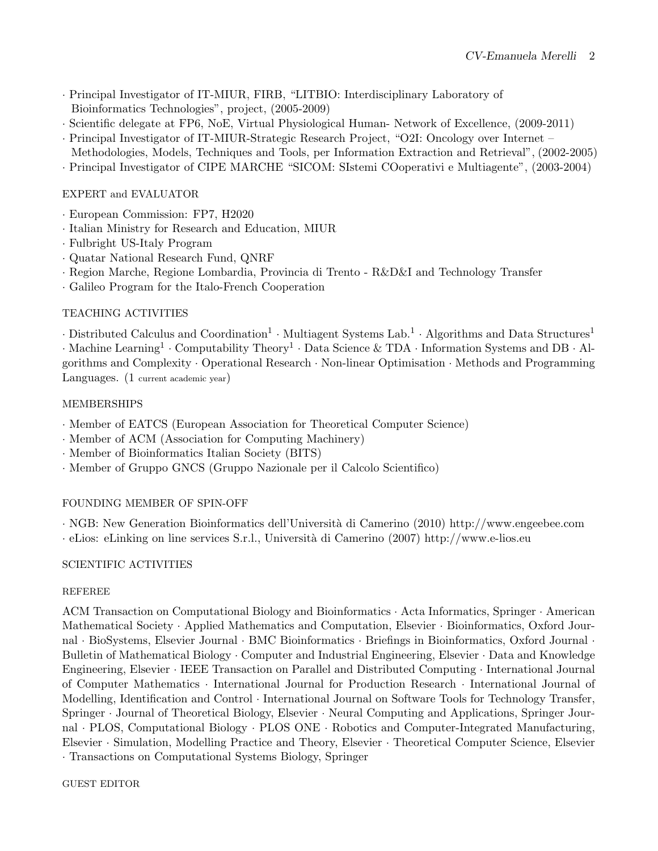- · Principal Investigator of IT-MIUR, FIRB, "LITBIO: Interdisciplinary Laboratory of Bioinformatics Technologies", project, (2005-2009)
- · Scientific delegate at FP6, NoE, Virtual Physiological Human- Network of Excellence, (2009-2011)
- · Principal Investigator of IT-MIUR-Strategic Research Project, "O2I: Oncology over Internet –
- Methodologies, Models, Techniques and Tools, per Information Extraction and Retrieval", (2002-2005)
- · Principal Investigator of CIPE MARCHE "SICOM: SIstemi COoperativi e Multiagente", (2003-2004)

EXPERT and EVALUATOR

- · European Commission: FP7, H2020
- · Italian Ministry for Research and Education, MIUR
- · Fulbright US-Italy Program
- · Quatar National Research Fund, QNRF
- · Region Marche, Regione Lombardia, Provincia di Trento R&D&I and Technology Transfer
- · Galileo Program for the Italo-French Cooperation

### TEACHING ACTIVITIES

 $\cdot$  Distributed Calculus and Coordination<sup>1</sup>  $\cdot$  Multiagent Systems Lab.<sup>1</sup>  $\cdot$  Algorithms and Data Structures<sup>1</sup>

 $\cdot$  Machine Learning<sup>1</sup>  $\cdot$  Computability Theory<sup>1</sup>  $\cdot$  Data Science & TDA  $\cdot$  Information Systems and DB  $\cdot$  Algorithms and Complexity · Operational Research · Non-linear Optimisation · Methods and Programming Languages. (1 current academic year)

### MEMBERSHIPS

- · Member of EATCS (European Association for Theoretical Computer Science)
- · Member of ACM (Association for Computing Machinery)
- · Member of Bioinformatics Italian Society (BITS)
- · Member of Gruppo GNCS (Gruppo Nazionale per il Calcolo Scientifico)

### FOUNDING MEMBER OF SPIN-OFF

· NGB: New Generation Bioinformatics dell'Universit`a di Camerino (2010) http://www.engeebee.com  $\cdot$  eLios: eLinking on line services S.r.l., Università di Camerino (2007) http://www.e-lios.eu

### SCIENTIFIC ACTIVITIES

### REFEREE

ACM Transaction on Computational Biology and Bioinformatics · Acta Informatics, Springer · American Mathematical Society · Applied Mathematics and Computation, Elsevier · Bioinformatics, Oxford Journal · BioSystems, Elsevier Journal · BMC Bioinformatics · Briefings in Bioinformatics, Oxford Journal · Bulletin of Mathematical Biology · Computer and Industrial Engineering, Elsevier · Data and Knowledge Engineering, Elsevier · IEEE Transaction on Parallel and Distributed Computing · International Journal of Computer Mathematics · International Journal for Production Research · International Journal of Modelling, Identification and Control · International Journal on Software Tools for Technology Transfer, Springer · Journal of Theoretical Biology, Elsevier · Neural Computing and Applications, Springer Journal · PLOS, Computational Biology · PLOS ONE · Robotics and Computer-Integrated Manufacturing, Elsevier · Simulation, Modelling Practice and Theory, Elsevier · Theoretical Computer Science, Elsevier · Transactions on Computational Systems Biology, Springer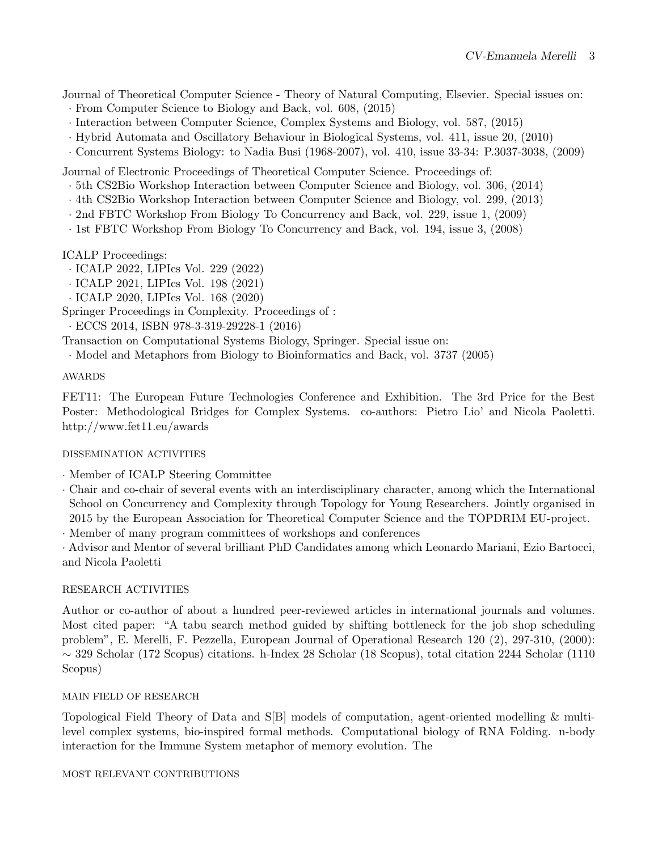Journal of Theoretical Computer Science - Theory of Natural Computing, Elsevier. Special issues on:

- · From Computer Science to Biology and Back, vol. 608, (2015)
- · Interaction between Computer Science, Complex Systems and Biology, vol. 587, (2015)
- · Hybrid Automata and Oscillatory Behaviour in Biological Systems, vol. 411, issue 20, (2010)
- · Concurrent Systems Biology: to Nadia Busi (1968-2007), vol. 410, issue 33-34: P.3037-3038, (2009)

Journal of Electronic Proceedings of Theoretical Computer Science. Proceedings of:

- · 5th CS2Bio Workshop Interaction between Computer Science and Biology, vol. 306, (2014)
- · 4th CS2Bio Workshop Interaction between Computer Science and Biology, vol. 299, (2013)
- · 2nd FBTC Workshop From Biology To Concurrency and Back, vol. 229, issue 1, (2009)
- · 1st FBTC Workshop From Biology To Concurrency and Back, vol. 194, issue 3, (2008)

ICALP Proceedings:

- · ICALP 2022, LIPIcs Vol. 229 (2022)
- · ICALP 2021, LIPIcs Vol. 198 (2021)
- · ICALP 2020, LIPIcs Vol. 168 (2020)

Springer Proceedings in Complexity. Proceedings of :

· ECCS 2014, ISBN 978-3-319-29228-1 (2016)

Transaction on Computational Systems Biology, Springer. Special issue on:

· Model and Metaphors from Biology to Bioinformatics and Back, vol. 3737 (2005)

AWARDS

FET11: The European Future Technologies Conference and Exhibition. The 3rd Price for the Best Poster: Methodological Bridges for Complex Systems. co-authors: Pietro Lio' and Nicola Paoletti. http://www.fet11.eu/awards

#### DISSEMINATION ACTIVITIES

- · Member of ICALP Steering Committee
- · Chair and co-chair of several events with an interdisciplinary character, among which the International School on Concurrency and Complexity through Topology for Young Researchers. Jointly organised in 2015 by the European Association for Theoretical Computer Science and the TOPDRIM EU-project.

· Member of many program committees of workshops and conferences

· Advisor and Mentor of several brilliant PhD Candidates among which Leonardo Mariani, Ezio Bartocci, and Nicola Paoletti

#### RESEARCH ACTIVITIES

Author or co-author of about a hundred peer-reviewed articles in international journals and volumes. Most cited paper: "A tabu search method guided by shifting bottleneck for the job shop scheduling problem", E. Merelli, F. Pezzella, European Journal of Operational Research 120 (2), 297-310, (2000): ∼ 329 Scholar (172 Scopus) citations. h-Index 28 Scholar (18 Scopus), total citation 2244 Scholar (1110 Scopus)

#### MAIN FIELD OF RESEARCH

Topological Field Theory of Data and S[B] models of computation, agent-oriented modelling & multilevel complex systems, bio-inspired formal methods. Computational biology of RNA Folding. n-body interaction for the Immune System metaphor of memory evolution. The

MOST RELEVANT CONTRIBUTIONS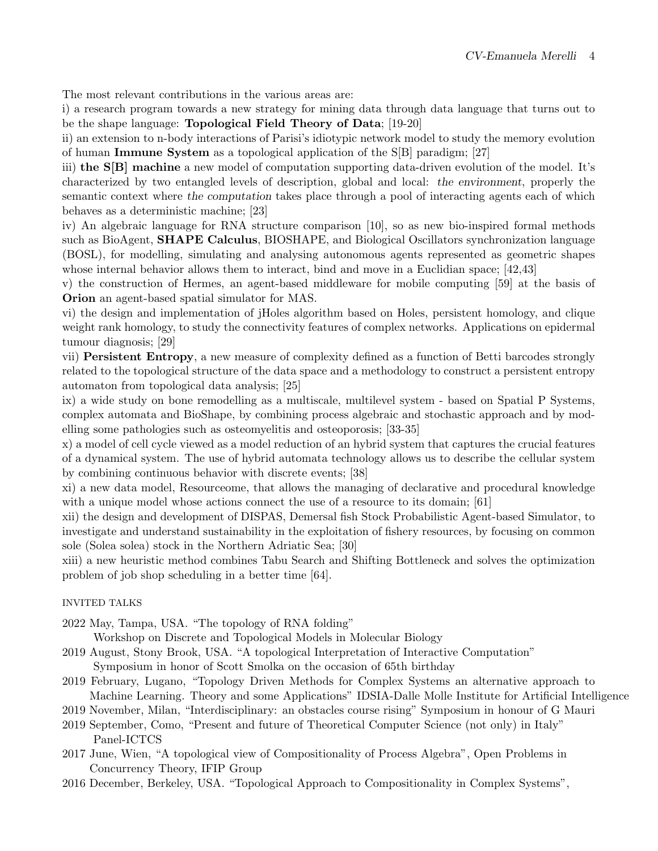The most relevant contributions in the various areas are:

i) a research program towards a new strategy for mining data through data language that turns out to be the shape language: Topological Field Theory of Data; [19-20]

ii) an extension to n-body interactions of Parisi's idiotypic network model to study the memory evolution of human Immune System as a topological application of the S[B] paradigm; [27]

iii) the S[B] machine a new model of computation supporting data-driven evolution of the model. It's characterized by two entangled levels of description, global and local: the environment, properly the semantic context where the computation takes place through a pool of interacting agents each of which behaves as a deterministic machine; [23]

iv) An algebraic language for RNA structure comparison [10], so as new bio-inspired formal methods such as BioAgent, SHAPE Calculus, BIOSHAPE, and Biological Oscillators synchronization language (BOSL), for modelling, simulating and analysing autonomous agents represented as geometric shapes whose internal behavior allows them to interact, bind and move in a Euclidian space; [42,43]

v) the construction of Hermes, an agent-based middleware for mobile computing [59] at the basis of Orion an agent-based spatial simulator for MAS.

vi) the design and implementation of jHoles algorithm based on Holes, persistent homology, and clique weight rank homology, to study the connectivity features of complex networks. Applications on epidermal tumour diagnosis; [29]

vii) Persistent Entropy, a new measure of complexity defined as a function of Betti barcodes strongly related to the topological structure of the data space and a methodology to construct a persistent entropy automaton from topological data analysis; [25]

ix) a wide study on bone remodelling as a multiscale, multilevel system - based on Spatial P Systems, complex automata and BioShape, by combining process algebraic and stochastic approach and by modelling some pathologies such as osteomyelitis and osteoporosis; [33-35]

x) a model of cell cycle viewed as a model reduction of an hybrid system that captures the crucial features of a dynamical system. The use of hybrid automata technology allows us to describe the cellular system by combining continuous behavior with discrete events; [38]

xi) a new data model, Resourceome, that allows the managing of declarative and procedural knowledge with a unique model whose actions connect the use of a resource to its domain; [61]

xii) the design and development of DISPAS, Demersal fish Stock Probabilistic Agent-based Simulator, to investigate and understand sustainability in the exploitation of fishery resources, by focusing on common sole (Solea solea) stock in the Northern Adriatic Sea; [30]

xiii) a new heuristic method combines Tabu Search and Shifting Bottleneck and solves the optimization problem of job shop scheduling in a better time [64].

#### INVITED TALKS

2022 May, Tampa, USA. "The topology of RNA folding"

Workshop on Discrete and Topological Models in Molecular Biology

- 2019 August, Stony Brook, USA. "A topological Interpretation of Interactive Computation" Symposium in honor of Scott Smolka on the occasion of 65th birthday
- 2019 February, Lugano, "Topology Driven Methods for Complex Systems an alternative approach to
- Machine Learning. Theory and some Applications" IDSIA-Dalle Molle Institute for Artificial Intelligence 2019 November, Milan, "Interdisciplinary: an obstacles course rising" Symposium in honour of G Mauri
- 2019 September, Como, "Present and future of Theoretical Computer Science (not only) in Italy"
- Panel-ICTCS
- 2017 June, Wien, "A topological view of Compositionality of Process Algebra", Open Problems in Concurrency Theory, IFIP Group
- 2016 December, Berkeley, USA. "Topological Approach to Compositionality in Complex Systems",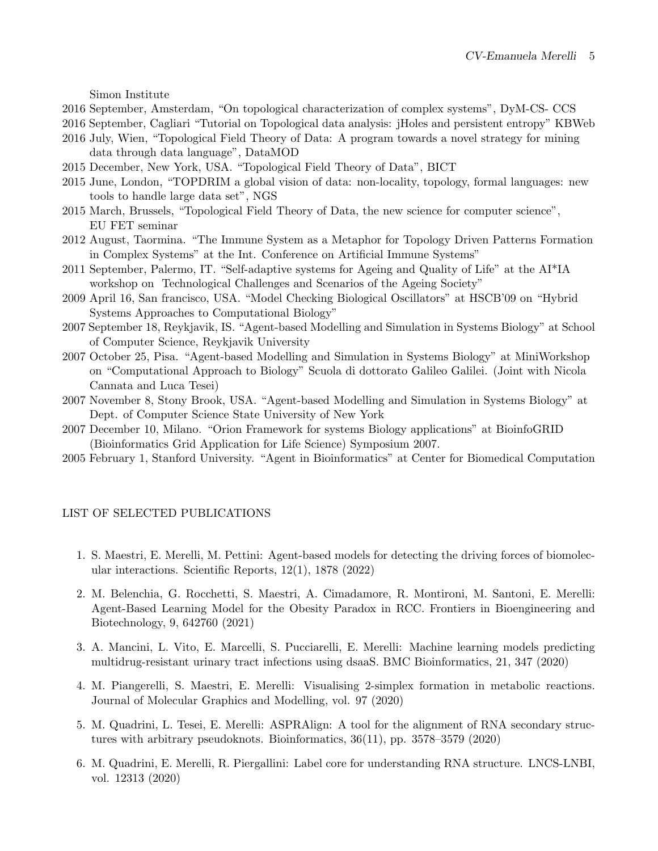Simon Institute

- 2016 September, Amsterdam, "On topological characterization of complex systems", DyM-CS- CCS
- 2016 September, Cagliari "Tutorial on Topological data analysis: jHoles and persistent entropy" KBWeb
- 2016 July, Wien, "Topological Field Theory of Data: A program towards a novel strategy for mining data through data language", DataMOD
- 2015 December, New York, USA. "Topological Field Theory of Data", BICT
- 2015 June, London, "TOPDRIM a global vision of data: non-locality, topology, formal languages: new tools to handle large data set", NGS
- 2015 March, Brussels, "Topological Field Theory of Data, the new science for computer science", EU FET seminar
- 2012 August, Taormina. "The Immune System as a Metaphor for Topology Driven Patterns Formation in Complex Systems" at the Int. Conference on Artificial Immune Systems"
- 2011 September, Palermo, IT. "Self-adaptive systems for Ageing and Quality of Life" at the AI\*IA workshop on Technological Challenges and Scenarios of the Ageing Society"
- 2009 April 16, San francisco, USA. "Model Checking Biological Oscillators" at HSCB'09 on "Hybrid Systems Approaches to Computational Biology"
- 2007 September 18, Reykjavik, IS. "Agent-based Modelling and Simulation in Systems Biology" at School of Computer Science, Reykjavik University
- 2007 October 25, Pisa. "Agent-based Modelling and Simulation in Systems Biology" at MiniWorkshop on "Computational Approach to Biology" Scuola di dottorato Galileo Galilei. (Joint with Nicola Cannata and Luca Tesei)
- 2007 November 8, Stony Brook, USA. "Agent-based Modelling and Simulation in Systems Biology" at Dept. of Computer Science State University of New York
- 2007 December 10, Milano. "Orion Framework for systems Biology applications" at BioinfoGRID (Bioinformatics Grid Application for Life Science) Symposium 2007.
- 2005 February 1, Stanford University. "Agent in Bioinformatics" at Center for Biomedical Computation

#### LIST OF SELECTED PUBLICATIONS

- 1. S. Maestri, E. Merelli, M. Pettini: Agent-based models for detecting the driving forces of biomolecular interactions. Scientific Reports, 12(1), 1878 (2022)
- 2. M. Belenchia, G. Rocchetti, S. Maestri, A. Cimadamore, R. Montironi, M. Santoni, E. Merelli: Agent-Based Learning Model for the Obesity Paradox in RCC. Frontiers in Bioengineering and Biotechnology, 9, 642760 (2021)
- 3. A. Mancini, L. Vito, E. Marcelli, S. Pucciarelli, E. Merelli: Machine learning models predicting multidrug-resistant urinary tract infections using dsaaS. BMC Bioinformatics, 21, 347 (2020)
- 4. M. Piangerelli, S. Maestri, E. Merelli: Visualising 2-simplex formation in metabolic reactions. Journal of Molecular Graphics and Modelling, vol. 97 (2020)
- 5. M. Quadrini, L. Tesei, E. Merelli: ASPRAlign: A tool for the alignment of RNA secondary structures with arbitrary pseudoknots. Bioinformatics, 36(11), pp. 3578–3579 (2020)
- 6. M. Quadrini, E. Merelli, R. Piergallini: Label core for understanding RNA structure. LNCS-LNBI, vol. 12313 (2020)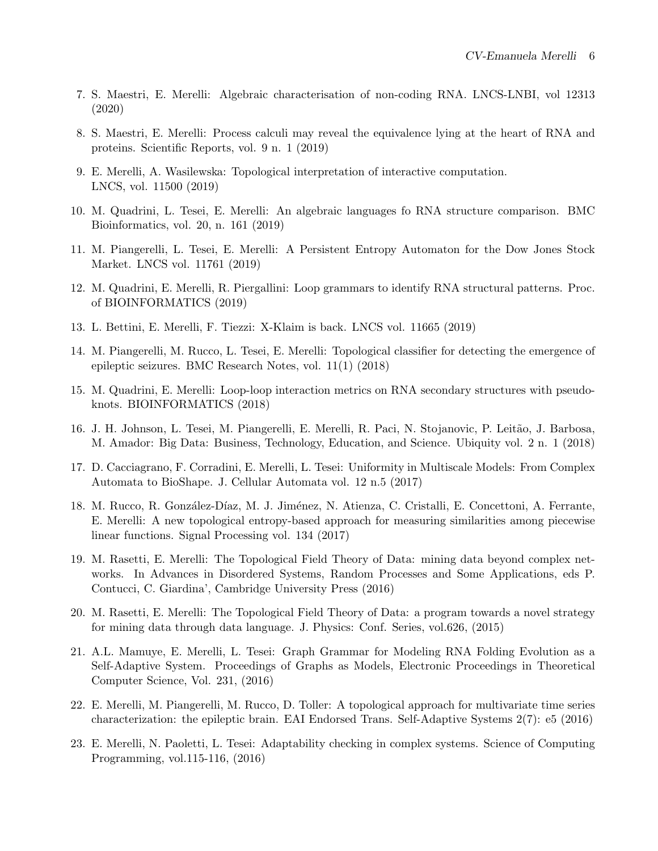- 7. S. Maestri, E. Merelli: Algebraic characterisation of non-coding RNA. LNCS-LNBI, vol 12313 (2020)
- 8. S. Maestri, E. Merelli: Process calculi may reveal the equivalence lying at the heart of RNA and proteins. Scientific Reports, vol. 9 n. 1 (2019)
- 9. E. Merelli, A. Wasilewska: Topological interpretation of interactive computation. LNCS, vol. 11500 (2019)
- 10. M. Quadrini, L. Tesei, E. Merelli: An algebraic languages fo RNA structure comparison. BMC Bioinformatics, vol. 20, n. 161 (2019)
- 11. M. Piangerelli, L. Tesei, E. Merelli: A Persistent Entropy Automaton for the Dow Jones Stock Market. LNCS vol. 11761 (2019)
- 12. M. Quadrini, E. Merelli, R. Piergallini: Loop grammars to identify RNA structural patterns. Proc. of BIOINFORMATICS (2019)
- 13. L. Bettini, E. Merelli, F. Tiezzi: X-Klaim is back. LNCS vol. 11665 (2019)
- 14. M. Piangerelli, M. Rucco, L. Tesei, E. Merelli: Topological classifier for detecting the emergence of epileptic seizures. BMC Research Notes, vol. 11(1) (2018)
- 15. M. Quadrini, E. Merelli: Loop-loop interaction metrics on RNA secondary structures with pseudoknots. BIOINFORMATICS (2018)
- 16. J. H. Johnson, L. Tesei, M. Piangerelli, E. Merelli, R. Paci, N. Stojanovic, P. Leitão, J. Barbosa, M. Amador: Big Data: Business, Technology, Education, and Science. Ubiquity vol. 2 n. 1 (2018)
- 17. D. Cacciagrano, F. Corradini, E. Merelli, L. Tesei: Uniformity in Multiscale Models: From Complex Automata to BioShape. J. Cellular Automata vol. 12 n.5 (2017)
- 18. M. Rucco, R. González-Díaz, M. J. Jiménez, N. Atienza, C. Cristalli, E. Concettoni, A. Ferrante, E. Merelli: A new topological entropy-based approach for measuring similarities among piecewise linear functions. Signal Processing vol. 134 (2017)
- 19. M. Rasetti, E. Merelli: The Topological Field Theory of Data: mining data beyond complex networks. In Advances in Disordered Systems, Random Processes and Some Applications, eds P. Contucci, C. Giardina', Cambridge University Press (2016)
- 20. M. Rasetti, E. Merelli: The Topological Field Theory of Data: a program towards a novel strategy for mining data through data language. J. Physics: Conf. Series, vol.626, (2015)
- 21. A.L. Mamuye, E. Merelli, L. Tesei: Graph Grammar for Modeling RNA Folding Evolution as a Self-Adaptive System. Proceedings of Graphs as Models, Electronic Proceedings in Theoretical Computer Science, Vol. 231, (2016)
- 22. E. Merelli, M. Piangerelli, M. Rucco, D. Toller: A topological approach for multivariate time series characterization: the epileptic brain. EAI Endorsed Trans. Self-Adaptive Systems 2(7): e5 (2016)
- 23. E. Merelli, N. Paoletti, L. Tesei: Adaptability checking in complex systems. Science of Computing Programming, vol.115-116, (2016)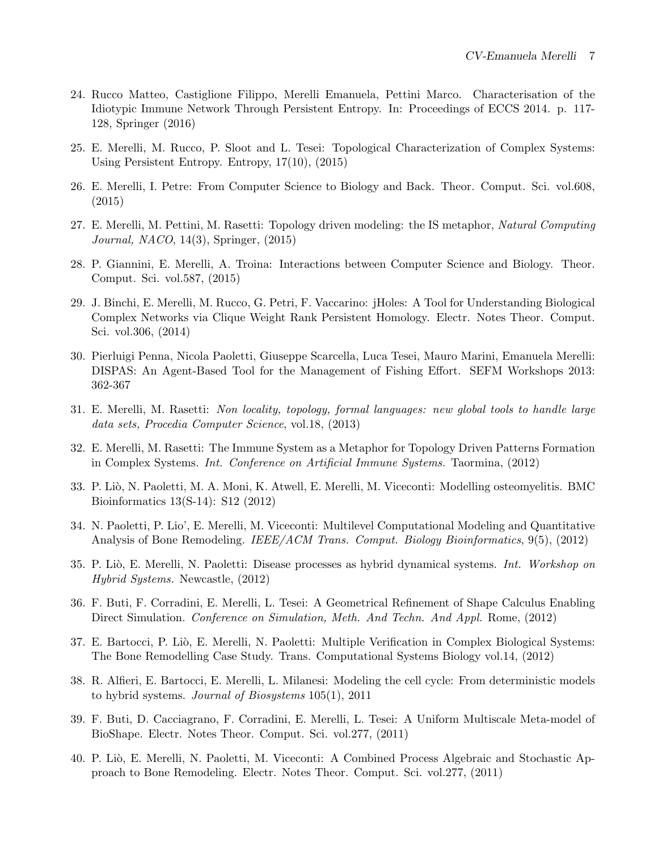- 24. Rucco Matteo, Castiglione Filippo, Merelli Emanuela, Pettini Marco. Characterisation of the Idiotypic Immune Network Through Persistent Entropy. In: Proceedings of ECCS 2014. p. 117- 128, Springer (2016)
- 25. E. Merelli, M. Rucco, P. Sloot and L. Tesei: Topological Characterization of Complex Systems: Using Persistent Entropy. Entropy, 17(10), (2015)
- 26. E. Merelli, I. Petre: From Computer Science to Biology and Back. Theor. Comput. Sci. vol.608, (2015)
- 27. E. Merelli, M. Pettini, M. Rasetti: Topology driven modeling: the IS metaphor, Natural Computing Journal, NACO, 14(3), Springer, (2015)
- 28. P. Giannini, E. Merelli, A. Troina: Interactions between Computer Science and Biology. Theor. Comput. Sci. vol.587, (2015)
- 29. J. Binchi, E. Merelli, M. Rucco, G. Petri, F. Vaccarino: jHoles: A Tool for Understanding Biological Complex Networks via Clique Weight Rank Persistent Homology. Electr. Notes Theor. Comput. Sci. vol.306, (2014)
- 30. Pierluigi Penna, Nicola Paoletti, Giuseppe Scarcella, Luca Tesei, Mauro Marini, Emanuela Merelli: DISPAS: An Agent-Based Tool for the Management of Fishing Effort. SEFM Workshops 2013: 362-367
- 31. E. Merelli, M. Rasetti: Non locality, topology, formal languages: new global tools to handle large data sets, Procedia Computer Science, vol.18, (2013)
- 32. E. Merelli, M. Rasetti: The Immune System as a Metaphor for Topology Driven Patterns Formation in Complex Systems. Int. Conference on Artificial Immune Systems. Taormina, (2012)
- 33. P. Li`o, N. Paoletti, M. A. Moni, K. Atwell, E. Merelli, M. Viceconti: Modelling osteomyelitis. BMC Bioinformatics 13(S-14): S12 (2012)
- 34. N. Paoletti, P. Lio', E. Merelli, M. Viceconti: Multilevel Computational Modeling and Quantitative Analysis of Bone Remodeling. IEEE/ACM Trans. Comput. Biology Bioinformatics, 9(5), (2012)
- 35. P. Liò, E. Merelli, N. Paoletti: Disease processes as hybrid dynamical systems. Int. Workshop on Hybrid Systems. Newcastle, (2012)
- 36. F. Buti, F. Corradini, E. Merelli, L. Tesei: A Geometrical Refinement of Shape Calculus Enabling Direct Simulation. Conference on Simulation, Meth. And Techn. And Appl. Rome, (2012)
- 37. E. Bartocci, P. Liò, E. Merelli, N. Paoletti: Multiple Verification in Complex Biological Systems: The Bone Remodelling Case Study. Trans. Computational Systems Biology vol.14, (2012)
- 38. R. Alfieri, E. Bartocci, E. Merelli, L. Milanesi: Modeling the cell cycle: From deterministic models to hybrid systems. Journal of Biosystems 105(1), 2011
- 39. F. Buti, D. Cacciagrano, F. Corradini, E. Merelli, L. Tesei: A Uniform Multiscale Meta-model of BioShape. Electr. Notes Theor. Comput. Sci. vol.277, (2011)
- 40. P. Li`o, E. Merelli, N. Paoletti, M. Viceconti: A Combined Process Algebraic and Stochastic Approach to Bone Remodeling. Electr. Notes Theor. Comput. Sci. vol.277, (2011)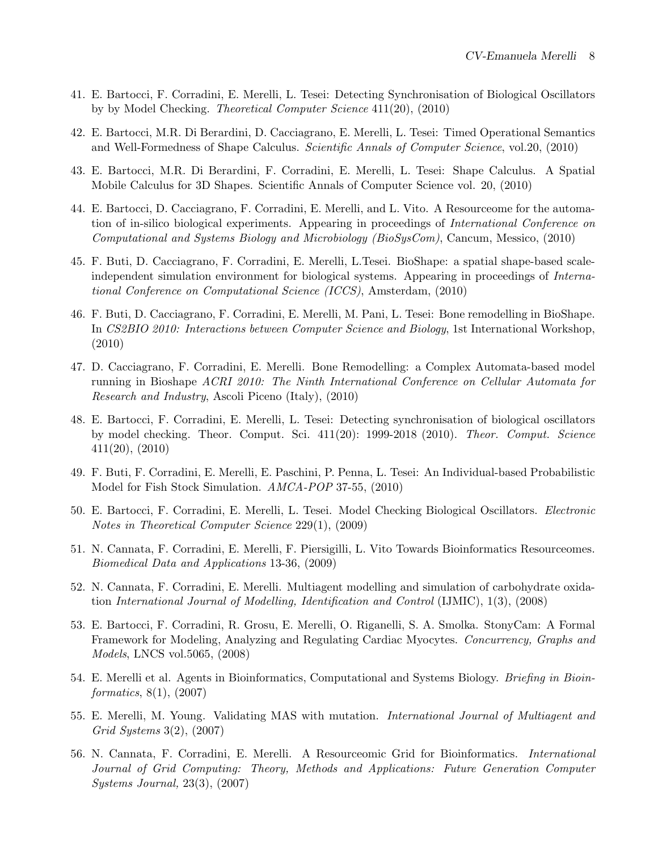- 41. E. Bartocci, F. Corradini, E. Merelli, L. Tesei: Detecting Synchronisation of Biological Oscillators by by Model Checking. Theoretical Computer Science 411(20), (2010)
- 42. E. Bartocci, M.R. Di Berardini, D. Cacciagrano, E. Merelli, L. Tesei: Timed Operational Semantics and Well-Formedness of Shape Calculus. Scientific Annals of Computer Science, vol.20, (2010)
- 43. E. Bartocci, M.R. Di Berardini, F. Corradini, E. Merelli, L. Tesei: Shape Calculus. A Spatial Mobile Calculus for 3D Shapes. Scientific Annals of Computer Science vol. 20, (2010)
- 44. E. Bartocci, D. Cacciagrano, F. Corradini, E. Merelli, and L. Vito. A Resourceome for the automation of in-silico biological experiments. Appearing in proceedings of International Conference on Computational and Systems Biology and Microbiology (BioSysCom), Cancum, Messico, (2010)
- 45. F. Buti, D. Cacciagrano, F. Corradini, E. Merelli, L.Tesei. BioShape: a spatial shape-based scaleindependent simulation environment for biological systems. Appearing in proceedings of *Interna*tional Conference on Computational Science (ICCS), Amsterdam, (2010)
- 46. F. Buti, D. Cacciagrano, F. Corradini, E. Merelli, M. Pani, L. Tesei: Bone remodelling in BioShape. In CS2BIO 2010: Interactions between Computer Science and Biology, 1st International Workshop, (2010)
- 47. D. Cacciagrano, F. Corradini, E. Merelli. Bone Remodelling: a Complex Automata-based model running in Bioshape ACRI 2010: The Ninth International Conference on Cellular Automata for Research and Industry, Ascoli Piceno (Italy), (2010)
- 48. E. Bartocci, F. Corradini, E. Merelli, L. Tesei: Detecting synchronisation of biological oscillators by model checking. Theor. Comput. Sci. 411(20): 1999-2018 (2010). Theor. Comput. Science 411(20), (2010)
- 49. F. Buti, F. Corradini, E. Merelli, E. Paschini, P. Penna, L. Tesei: An Individual-based Probabilistic Model for Fish Stock Simulation. AMCA-POP 37-55, (2010)
- 50. E. Bartocci, F. Corradini, E. Merelli, L. Tesei. Model Checking Biological Oscillators. Electronic Notes in Theoretical Computer Science 229(1), (2009)
- 51. N. Cannata, F. Corradini, E. Merelli, F. Piersigilli, L. Vito Towards Bioinformatics Resourceomes. Biomedical Data and Applications 13-36, (2009)
- 52. N. Cannata, F. Corradini, E. Merelli. Multiagent modelling and simulation of carbohydrate oxidation International Journal of Modelling, Identification and Control (IJMIC), 1(3), (2008)
- 53. E. Bartocci, F. Corradini, R. Grosu, E. Merelli, O. Riganelli, S. A. Smolka. StonyCam: A Formal Framework for Modeling, Analyzing and Regulating Cardiac Myocytes. Concurrency, Graphs and Models, LNCS vol.5065, (2008)
- 54. E. Merelli et al. Agents in Bioinformatics, Computational and Systems Biology. Briefing in Bioinformatics, 8(1), (2007)
- 55. E. Merelli, M. Young. Validating MAS with mutation. International Journal of Multiagent and Grid Systems 3(2), (2007)
- 56. N. Cannata, F. Corradini, E. Merelli. A Resourceomic Grid for Bioinformatics. International Journal of Grid Computing: Theory, Methods and Applications: Future Generation Computer Systems Journal, 23(3), (2007)